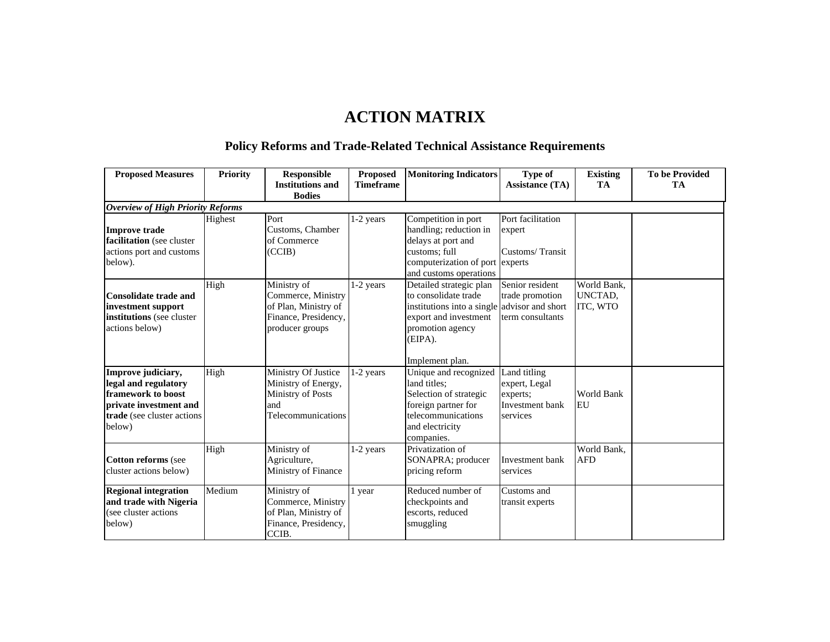## **ACTION MATRIX**

## **Policy Reforms and Trade-Related Technical Assistance Requirements**

| <b>Proposed Measures</b>                                                                                                           | <b>Priority</b> | <b>Responsible</b>                                                                                   | <b>Proposed</b>  | <b>Monitoring Indicators</b>                                                                                                                               | Type of                                                                  | <b>Existing</b>                    | <b>To be Provided</b> |
|------------------------------------------------------------------------------------------------------------------------------------|-----------------|------------------------------------------------------------------------------------------------------|------------------|------------------------------------------------------------------------------------------------------------------------------------------------------------|--------------------------------------------------------------------------|------------------------------------|-----------------------|
|                                                                                                                                    |                 | <b>Institutions and</b>                                                                              | <b>Timeframe</b> |                                                                                                                                                            | <b>Assistance (TA)</b>                                                   | <b>TA</b>                          | <b>TA</b>             |
|                                                                                                                                    |                 | <b>Bodies</b>                                                                                        |                  |                                                                                                                                                            |                                                                          |                                    |                       |
| <b>Overview of High Priority Reforms</b>                                                                                           |                 |                                                                                                      |                  |                                                                                                                                                            |                                                                          |                                    |                       |
| <b>Improve trade</b><br>facilitation (see cluster<br>actions port and customs<br>below).                                           | Highest         | Port<br>Customs, Chamber<br>of Commerce<br>(CCIB)                                                    | 1-2 years        | Competition in port<br>handling; reduction in<br>delays at port and<br>customs; full<br>computerization of port experts                                    | Port facilitation<br>expert<br>Customs/Transit                           |                                    |                       |
|                                                                                                                                    |                 |                                                                                                      |                  | and customs operations                                                                                                                                     |                                                                          |                                    |                       |
| <b>Consolidate trade and</b><br>investment support<br>institutions (see cluster)<br>actions below)                                 | High            | Ministry of<br>Commerce, Ministry<br>of Plan, Ministry of<br>Finance, Presidency,<br>producer groups | 1-2 years        | Detailed strategic plan<br>to consolidate trade<br>institutions into a single advisor and short<br>export and investment<br>promotion agency<br>$(EIPA)$ . | Senior resident<br>trade promotion<br>term consultants                   | World Bank,<br>UNCTAD,<br>ITC, WTO |                       |
|                                                                                                                                    |                 |                                                                                                      |                  | Implement plan.                                                                                                                                            |                                                                          |                                    |                       |
| Improve judiciary,<br>legal and regulatory<br>framework to boost<br>private investment and<br>trade (see cluster actions<br>below) | High            | Ministry Of Justice<br>Ministry of Energy,<br>Ministry of Posts<br>and<br>Telecommunications         | 1-2 years        | Unique and recognized<br>land titles:<br>Selection of strategic<br>foreign partner for<br>telecommunications<br>and electricity<br>companies.              | Land titling<br>expert, Legal<br>experts;<br>Investment bank<br>services | World Bank<br>EU                   |                       |
| <b>Cotton reforms</b> (see<br>cluster actions below)                                                                               | High            | Ministry of<br>Agriculture,<br>Ministry of Finance                                                   | $1-2$ years      | Privatization of<br>SONAPRA; producer<br>pricing reform                                                                                                    | Investment bank<br>services                                              | World Bank.<br><b>AFD</b>          |                       |
| <b>Regional integration</b><br>and trade with Nigeria<br>(see cluster actions<br>below)                                            | Medium          | Ministry of<br>Commerce, Ministry<br>of Plan, Ministry of<br>Finance, Presidency,<br>CCIB.           | 1 year           | Reduced number of<br>checkpoints and<br>escorts, reduced<br>smuggling                                                                                      | Customs and<br>transit experts                                           |                                    |                       |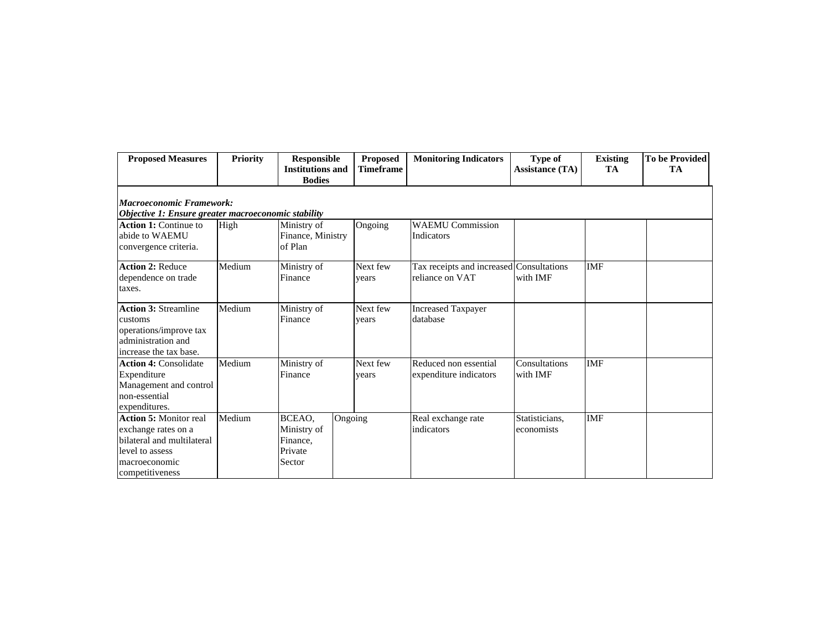| <b>Proposed Measures</b>                                                                                                                  | <b>Priority</b> | <b>Responsible</b><br><b>Institutions and</b><br><b>Bodies</b> | <b>Proposed</b><br><b>Timeframe</b> | <b>Monitoring Indicators</b>                                | Type of<br><b>Assistance (TA)</b> | <b>Existing</b><br><b>TA</b> | <b>To be Provided</b><br>TA |
|-------------------------------------------------------------------------------------------------------------------------------------------|-----------------|----------------------------------------------------------------|-------------------------------------|-------------------------------------------------------------|-----------------------------------|------------------------------|-----------------------------|
| <b>Macroeconomic Framework:</b><br>Objective 1: Ensure greater macroeconomic stability                                                    |                 |                                                                |                                     |                                                             |                                   |                              |                             |
| <b>Action 1:</b> Continue to<br>abide to WAEMU<br>convergence criteria.                                                                   | High            | Ministry of<br>Finance, Ministry<br>of Plan                    | Ongoing                             | <b>WAEMU Commission</b><br>Indicators                       |                                   |                              |                             |
| <b>Action 2: Reduce</b><br>dependence on trade<br>taxes.                                                                                  | Medium          | Ministry of<br>Finance                                         | Next few<br>vears                   | Tax receipts and increased Consultations<br>reliance on VAT | with IMF                          | <b>IMF</b>                   |                             |
| <b>Action 3: Streamline</b><br>customs<br>operations/improve tax<br>administration and<br>increase the tax base.                          | Medium          | Ministry of<br>Finance                                         | Next few<br>vears                   | <b>Increased Taxpayer</b><br>database                       |                                   |                              |                             |
| <b>Action 4: Consolidate</b><br>Expenditure<br>Management and control<br>non-essential<br>expenditures.                                   | Medium          | Ministry of<br>Finance                                         | Next few<br>years                   | Reduced non essential<br>expenditure indicators             | Consultations<br>with IMF         | <b>IMF</b>                   |                             |
| <b>Action 5: Monitor real</b><br>exchange rates on a<br>bilateral and multilateral<br>level to assess<br>macroeconomic<br>competitiveness | Medium          | BCEAO,<br>Ministry of<br>Finance,<br>Private<br>Sector         | Ongoing                             | Real exchange rate<br>indicators                            | Statisticians,<br>economists      | <b>IMF</b>                   |                             |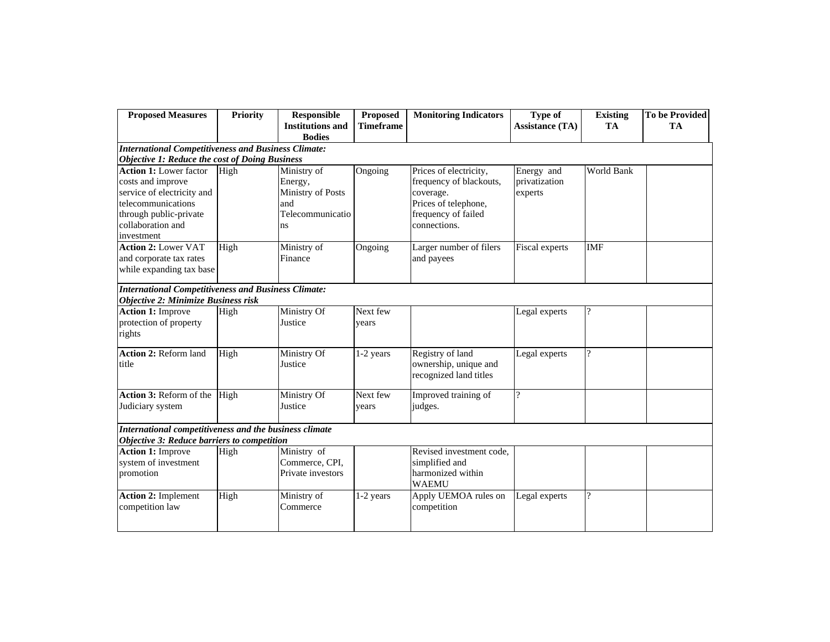| <b>Proposed Measures</b>                                                                                                                                            | <b>Priority</b> | <b>Responsible</b><br><b>Institutions and</b><br><b>Bodies</b>               | Proposed<br><b>Timeframe</b> | <b>Monitoring Indicators</b>                                                                                                  | Type of<br><b>Assistance (TA)</b>      | <b>Existing</b><br>TA | <b>To be Provided</b><br><b>TA</b> |
|---------------------------------------------------------------------------------------------------------------------------------------------------------------------|-----------------|------------------------------------------------------------------------------|------------------------------|-------------------------------------------------------------------------------------------------------------------------------|----------------------------------------|-----------------------|------------------------------------|
| <b>International Competitiveness and Business Climate:</b>                                                                                                          |                 |                                                                              |                              |                                                                                                                               |                                        |                       |                                    |
| <b>Objective 1: Reduce the cost of Doing Business</b>                                                                                                               |                 |                                                                              |                              |                                                                                                                               |                                        |                       |                                    |
| <b>Action 1:</b> Lower factor<br>costs and improve<br>service of electricity and<br>telecommunications<br>through public-private<br>collaboration and<br>investment | High            | Ministry of<br>Energy,<br>Ministry of Posts<br>and<br>Telecommunicatio<br>ns | Ongoing                      | Prices of electricity,<br>frequency of blackouts,<br>coverage.<br>Prices of telephone,<br>frequency of failed<br>connections. | Energy and<br>privatization<br>experts | World Bank            |                                    |
| <b>Action 2: Lower VAT</b><br>and corporate tax rates<br>while expanding tax base                                                                                   | High            | Ministry of<br>Finance                                                       | Ongoing                      | Larger number of filers<br>and payees                                                                                         | Fiscal experts                         | <b>IMF</b>            |                                    |
| <b>International Competitiveness and Business Climate:</b><br><b>Objective 2: Minimize Business risk</b>                                                            |                 |                                                                              |                              |                                                                                                                               |                                        |                       |                                    |
| <b>Action 1: Improve</b><br>protection of property<br>rights                                                                                                        | High            | Ministry Of<br>Justice                                                       | Next few<br>vears            |                                                                                                                               | Legal experts                          | $\gamma$              |                                    |
| <b>Action 2: Reform land</b><br>title                                                                                                                               | High            | Ministry Of<br>Justice                                                       | 1-2 years                    | Registry of land<br>ownership, unique and<br>recognized land titles                                                           | Legal experts                          | $\gamma$              |                                    |
| Action 3: Reform of the<br>Judiciary system                                                                                                                         | High            | Ministry Of<br>Justice                                                       | Next few<br>years            | Improved training of<br>judges.                                                                                               | $\gamma$                               |                       |                                    |
| International competitiveness and the business climate<br>Objective 3: Reduce barriers to competition                                                               |                 |                                                                              |                              |                                                                                                                               |                                        |                       |                                    |
| <b>Action 1: Improve</b><br>system of investment<br>promotion                                                                                                       | High            | Ministry of<br>Commerce, CPI,<br>Private investors                           |                              | Revised investment code,<br>simplified and<br>harmonized within<br><b>WAEMU</b>                                               |                                        |                       |                                    |
| <b>Action 2: Implement</b><br>competition law                                                                                                                       | High            | Ministry of<br>Commerce                                                      | 1-2 years                    | Apply UEMOA rules on<br>competition                                                                                           | Legal experts                          | $\gamma$              |                                    |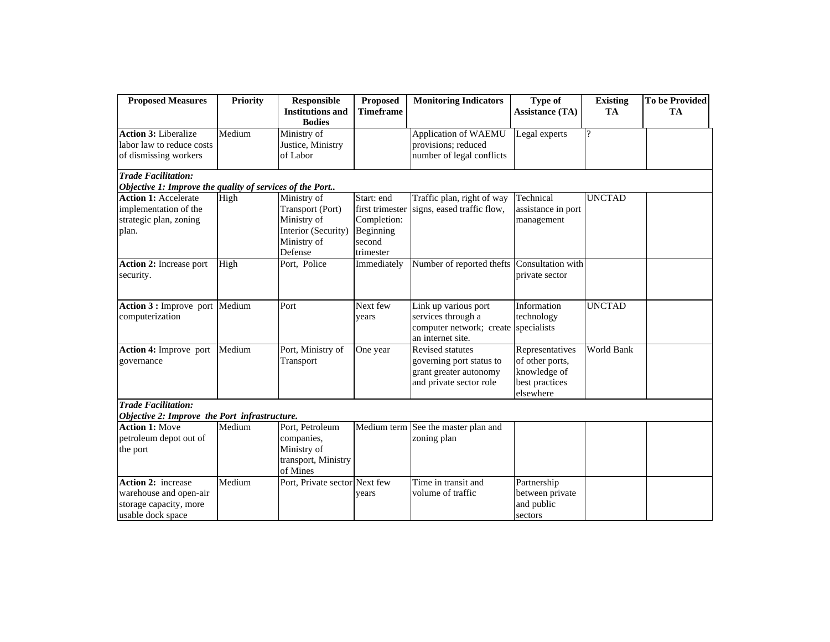| <b>Proposed Measures</b>                                 | <b>Priority</b> | <b>Responsible</b><br><b>Institutions and</b> | <b>Proposed</b><br><b>Timeframe</b> | <b>Monitoring Indicators</b>                | Type of<br><b>Assistance (TA)</b> | <b>Existing</b><br><b>TA</b> | <b>To be Provided</b><br><b>TA</b> |
|----------------------------------------------------------|-----------------|-----------------------------------------------|-------------------------------------|---------------------------------------------|-----------------------------------|------------------------------|------------------------------------|
|                                                          |                 | <b>Bodies</b>                                 |                                     |                                             |                                   |                              |                                    |
| <b>Action 3: Liberalize</b>                              | Medium          | Ministry of                                   |                                     | Application of WAEMU                        | Legal experts                     | $\overline{?}$               |                                    |
| labor law to reduce costs                                |                 | Justice, Ministry                             |                                     | provisions; reduced                         |                                   |                              |                                    |
| of dismissing workers                                    |                 | of Labor                                      |                                     | number of legal conflicts                   |                                   |                              |                                    |
| <b>Trade Facilitation:</b>                               |                 |                                               |                                     |                                             |                                   |                              |                                    |
| Objective 1: Improve the quality of services of the Port |                 |                                               |                                     |                                             |                                   |                              |                                    |
| <b>Action 1: Accelerate</b>                              | High            | Ministry of                                   | Start: end                          | Traffic plan, right of way                  | Technical                         | <b>UNCTAD</b>                |                                    |
| implementation of the                                    |                 | Transport (Port)                              | first trimester                     | signs, eased traffic flow,                  | assistance in port                |                              |                                    |
| strategic plan, zoning                                   |                 | Ministry of                                   | Completion:                         |                                             | management                        |                              |                                    |
| plan.                                                    |                 | Interior (Security)                           | Beginning                           |                                             |                                   |                              |                                    |
|                                                          |                 | Ministry of                                   | second                              |                                             |                                   |                              |                                    |
|                                                          |                 | Defense                                       | trimester                           |                                             |                                   |                              |                                    |
| Action 2: Increase port                                  | High            | Port, Police                                  | Immediately                         | Number of reported thefts Consultation with |                                   |                              |                                    |
| security.                                                |                 |                                               |                                     |                                             | private sector                    |                              |                                    |
|                                                          |                 |                                               |                                     |                                             |                                   |                              |                                    |
| Action 3 : Improve port                                  | Medium          | Port                                          | Next few                            | Link up various port                        | Information                       | <b>UNCTAD</b>                |                                    |
| computerization                                          |                 |                                               | years                               | services through a                          | technology                        |                              |                                    |
|                                                          |                 |                                               |                                     | computer network; create                    | specialists                       |                              |                                    |
|                                                          |                 |                                               |                                     | an internet site.                           |                                   |                              |                                    |
| Action 4: Improve port                                   | Medium          | Port, Ministry of                             | One year                            | Revised statutes                            | Representatives                   | World Bank                   |                                    |
| governance                                               |                 | Transport                                     |                                     | governing port status to                    | of other ports,                   |                              |                                    |
|                                                          |                 |                                               |                                     | grant greater autonomy                      | knowledge of                      |                              |                                    |
|                                                          |                 |                                               |                                     | and private sector role                     | best practices                    |                              |                                    |
|                                                          |                 |                                               |                                     |                                             | elsewhere                         |                              |                                    |
| <b>Trade Facilitation:</b>                               |                 |                                               |                                     |                                             |                                   |                              |                                    |
| Objective 2: Improve the Port infrastructure.            |                 |                                               |                                     |                                             |                                   |                              |                                    |
| <b>Action 1: Move</b>                                    | Medium          | Port, Petroleum                               |                                     | Medium term See the master plan and         |                                   |                              |                                    |
| petroleum depot out of                                   |                 | companies,                                    |                                     | zoning plan                                 |                                   |                              |                                    |
| the port                                                 |                 | Ministry of                                   |                                     |                                             |                                   |                              |                                    |
|                                                          |                 | transport, Ministry                           |                                     |                                             |                                   |                              |                                    |
|                                                          |                 | of Mines                                      |                                     |                                             |                                   |                              |                                    |
| Action 2: increase                                       | Medium          | Port, Private sector Next few                 |                                     | Time in transit and                         | Partnership                       |                              |                                    |
| warehouse and open-air                                   |                 |                                               | vears                               | volume of traffic                           | between private                   |                              |                                    |
| storage capacity, more                                   |                 |                                               |                                     |                                             | and public                        |                              |                                    |
| usable dock space                                        |                 |                                               |                                     |                                             | sectors                           |                              |                                    |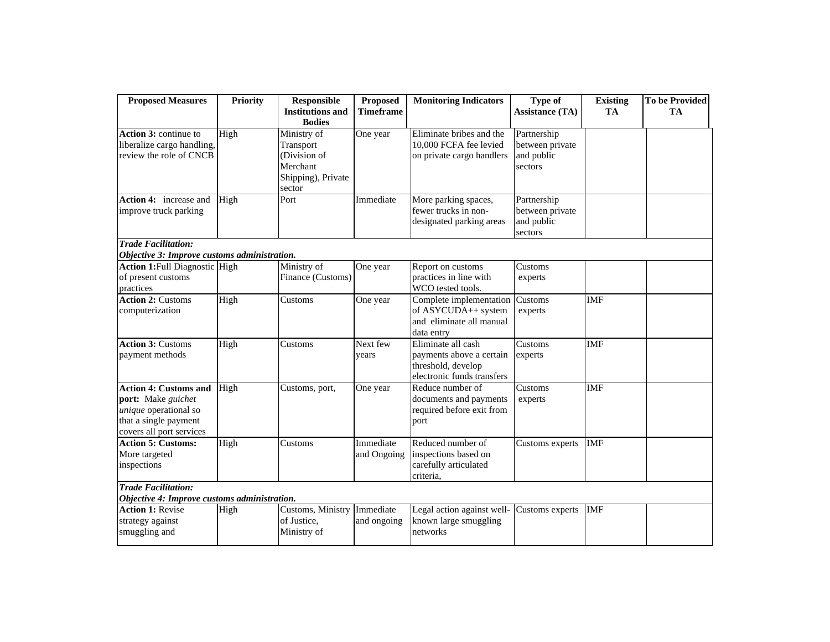| <b>Proposed Measures</b>                                                                                                         | <b>Priority</b> | <b>Responsible</b><br><b>Institutions and</b>                                        | <b>Proposed</b><br><b>Timeframe</b> | <b>Monitoring Indicators</b>                                                                       | <b>Type of</b><br><b>Assistance (TA)</b>                | <b>Existing</b><br>TA | <b>To be Provided</b><br><b>TA</b> |
|----------------------------------------------------------------------------------------------------------------------------------|-----------------|--------------------------------------------------------------------------------------|-------------------------------------|----------------------------------------------------------------------------------------------------|---------------------------------------------------------|-----------------------|------------------------------------|
|                                                                                                                                  |                 | <b>Bodies</b>                                                                        |                                     |                                                                                                    |                                                         |                       |                                    |
| <b>Action 3: continue to</b><br>liberalize cargo handling,<br>review the role of CNCB                                            | High            | Ministry of<br>Transport<br>(Division of<br>Merchant<br>Shipping), Private<br>sector | One year                            | Eliminate bribes and the<br>10,000 FCFA fee levied<br>on private cargo handlers                    | Partnership<br>between private<br>and public<br>sectors |                       |                                    |
| Action 4: increase and<br>improve truck parking                                                                                  | High            | Port                                                                                 | Immediate                           | More parking spaces,<br>fewer trucks in non-<br>designated parking areas                           | Partnership<br>between private<br>and public<br>sectors |                       |                                    |
| <b>Trade Facilitation:</b>                                                                                                       |                 |                                                                                      |                                     |                                                                                                    |                                                         |                       |                                    |
| Objective 3: Improve customs administration.                                                                                     |                 |                                                                                      |                                     |                                                                                                    |                                                         |                       |                                    |
| <b>Action 1:</b> Full Diagnostic High<br>of present customs<br>practices                                                         |                 | Ministry of<br>Finance (Customs)                                                     | One year                            | Report on customs<br>practices in line with<br>WCO tested tools.                                   | Customs<br>experts                                      |                       |                                    |
| <b>Action 2: Customs</b><br>computerization                                                                                      | High            | Customs                                                                              | One year                            | Complete implementation<br>of ASYCUDA++ system<br>and eliminate all manual<br>data entry           | Customs<br>experts                                      | <b>IMF</b>            |                                    |
| <b>Action 3: Customs</b><br>payment methods                                                                                      | High            | Customs                                                                              | Next few<br>vears                   | Eliminate all cash<br>payments above a certain<br>threshold, develop<br>electronic funds transfers | Customs<br>experts                                      | <b>IMF</b>            |                                    |
| <b>Action 4: Customs and</b><br>port: Make guichet<br>unique operational so<br>that a single payment<br>covers all port services | High            | Customs, port,                                                                       | One year                            | Reduce number of<br>documents and payments<br>required before exit from<br>port                    | Customs<br>experts                                      | <b>IMF</b>            |                                    |
| <b>Action 5: Customs:</b><br>More targeted<br>inspections                                                                        | High            | Customs                                                                              | Immediate<br>and Ongoing            | Reduced number of<br>inspections based on<br>carefully articulated<br>criteria,                    | Customs experts                                         | <b>IMF</b>            |                                    |
| <b>Trade Facilitation:</b>                                                                                                       |                 |                                                                                      |                                     |                                                                                                    |                                                         |                       |                                    |
| Objective 4: Improve customs administration.                                                                                     |                 |                                                                                      |                                     |                                                                                                    |                                                         |                       |                                    |
| <b>Action 1: Revise</b><br>strategy against<br>smuggling and                                                                     | High            | Customs, Ministry Immediate<br>of Justice,<br>Ministry of                            | and ongoing                         | Legal action against well-<br>known large smuggling<br>networks                                    | Customs experts                                         | <b>IMF</b>            |                                    |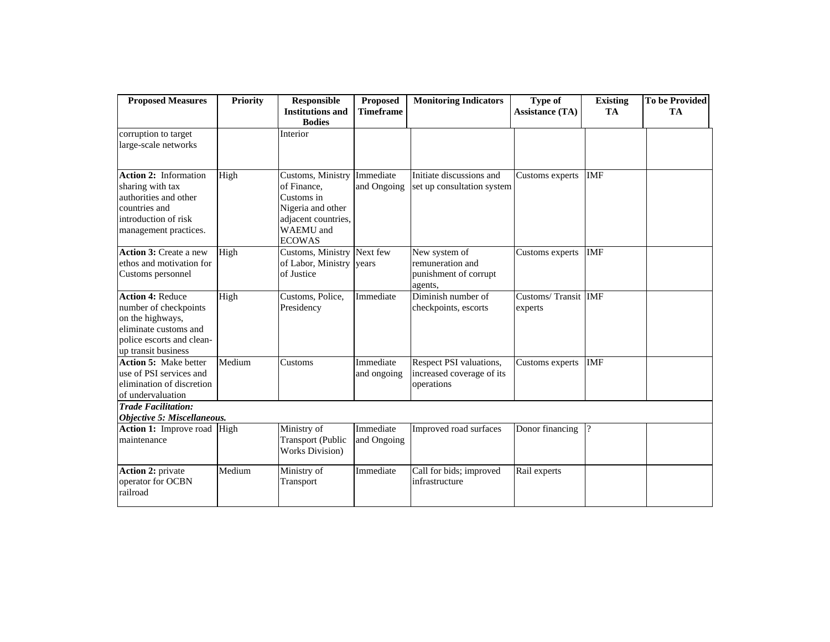| <b>Proposed Measures</b>                                                                                                                          | <b>Priority</b> | Responsible                                                                                                                     | <b>Proposed</b>          | <b>Monitoring Indicators</b>                                          | Type of                        | <b>Existing</b> | To be Provided |
|---------------------------------------------------------------------------------------------------------------------------------------------------|-----------------|---------------------------------------------------------------------------------------------------------------------------------|--------------------------|-----------------------------------------------------------------------|--------------------------------|-----------------|----------------|
|                                                                                                                                                   |                 | <b>Institutions and</b>                                                                                                         | <b>Timeframe</b>         |                                                                       | <b>Assistance (TA)</b>         | <b>TA</b>       | <b>TA</b>      |
|                                                                                                                                                   |                 | <b>Bodies</b>                                                                                                                   |                          |                                                                       |                                |                 |                |
| corruption to target<br>large-scale networks                                                                                                      |                 | Interior                                                                                                                        |                          |                                                                       |                                |                 |                |
| <b>Action 2:</b> Information<br>sharing with tax<br>authorities and other<br>countries and<br>introduction of risk<br>management practices.       | High            | Customs, Ministry<br>of Finance,<br>Customs in<br>Nigeria and other<br>adjacent countries,<br><b>WAEMU</b> and<br><b>ECOWAS</b> | Immediate<br>and Ongoing | Initiate discussions and<br>set up consultation system                | Customs experts                | <b>IMF</b>      |                |
| <b>Action 3: Create a new</b><br>ethos and motivation for<br>Customs personnel                                                                    | High            | Customs, Ministry Next few<br>of Labor, Ministry years<br>of Justice                                                            |                          | New system of<br>remuneration and<br>punishment of corrupt<br>agents, | Customs experts                | <b>IMF</b>      |                |
| <b>Action 4: Reduce</b><br>number of checkpoints<br>on the highways,<br>eliminate customs and<br>police escorts and clean-<br>up transit business | High            | Customs, Police,<br>Presidency                                                                                                  | Immediate                | Diminish number of<br>checkpoints, escorts                            | Customs/Transit IMF<br>experts |                 |                |
| <b>Action 5: Make better</b><br>use of PSI services and<br>elimination of discretion<br>of undervaluation                                         | Medium          | Customs                                                                                                                         | Immediate<br>and ongoing | Respect PSI valuations,<br>increased coverage of its<br>operations    | Customs experts                | <b>IMF</b>      |                |
| <b>Trade Facilitation:</b><br>Objective 5: Miscellaneous.                                                                                         |                 |                                                                                                                                 |                          |                                                                       |                                |                 |                |
| Action 1: Improve road High<br>maintenance                                                                                                        |                 | Ministry of<br><b>Transport</b> (Public<br><b>Works Division</b> )                                                              | Immediate<br>and Ongoing | Improved road surfaces                                                | Donor financing                |                 |                |
| Action 2: private<br>operator for OCBN<br>railroad                                                                                                | Medium          | Ministry of<br>Transport                                                                                                        | Immediate                | Call for bids; improved<br>infrastructure                             | Rail experts                   |                 |                |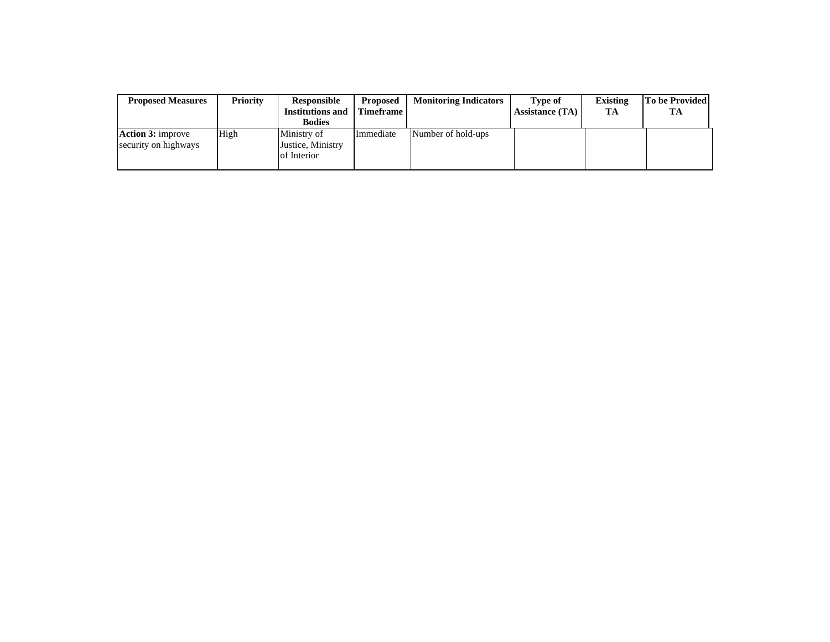| <b>Proposed Measures</b>                         | <b>Priority</b> | Responsible<br><b>Institutions and</b><br><b>Bodies</b> | <b>Proposed</b><br><b>Timeframe</b> | <b>Monitoring Indicators</b> | Type of<br><b>Assistance (TA)</b> | <b>Existing</b><br>TA | To be Provided<br>TA |
|--------------------------------------------------|-----------------|---------------------------------------------------------|-------------------------------------|------------------------------|-----------------------------------|-----------------------|----------------------|
| <b>Action 3:</b> improve<br>security on highways | High            | Ministry of<br>Justice, Ministry<br>of Interior         | Immediate                           | Number of hold-ups           |                                   |                       |                      |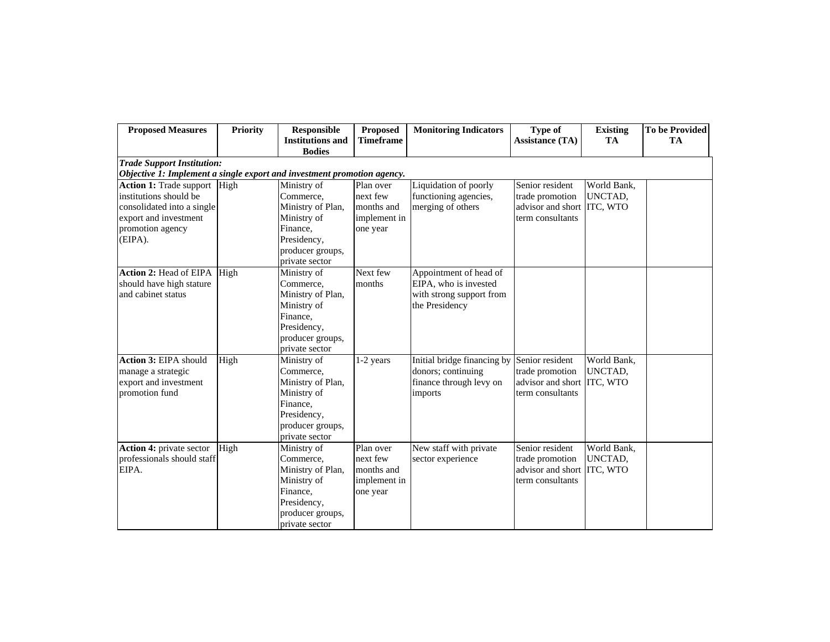| <b>Proposed Measures</b>                                                                                                                            | <b>Priority</b> | <b>Responsible</b><br><b>Institutions and</b><br><b>Bodies</b>                                                                | Proposed<br><b>Timeframe</b>                                    | <b>Monitoring Indicators</b>                                                                  | Type of<br><b>Assistance (TA)</b>                                                    | <b>Existing</b><br>TA  | <b>To be Provided</b><br><b>TA</b> |
|-----------------------------------------------------------------------------------------------------------------------------------------------------|-----------------|-------------------------------------------------------------------------------------------------------------------------------|-----------------------------------------------------------------|-----------------------------------------------------------------------------------------------|--------------------------------------------------------------------------------------|------------------------|------------------------------------|
| <b>Trade Support Institution:</b><br>Objective 1: Implement a single export and investment promotion agency.                                        |                 |                                                                                                                               |                                                                 |                                                                                               |                                                                                      |                        |                                    |
| <b>Action 1:</b> Trade support High<br>institutions should be<br>consolidated into a single<br>export and investment<br>promotion agency<br>(EIPA). |                 | Ministry of<br>Commerce,<br>Ministry of Plan,<br>Ministry of<br>Finance,<br>Presidency,<br>producer groups,<br>private sector | Plan over<br>next few<br>months and<br>implement in<br>one year | Liquidation of poorly<br>functioning agencies,<br>merging of others                           | Senior resident<br>trade promotion<br>advisor and short ITC, WTO<br>term consultants | World Bank,<br>UNCTAD, |                                    |
| <b>Action 2:</b> Head of EIPA High<br>should have high stature<br>and cabinet status                                                                |                 | Ministry of<br>Commerce,<br>Ministry of Plan,<br>Ministry of<br>Finance,<br>Presidency,<br>producer groups,<br>private sector | Next few<br>months                                              | Appointment of head of<br>EIPA, who is invested<br>with strong support from<br>the Presidency |                                                                                      |                        |                                    |
| Action 3: EIPA should<br>manage a strategic<br>export and investment<br>promotion fund                                                              | High            | Ministry of<br>Commerce,<br>Ministry of Plan,<br>Ministry of<br>Finance,<br>Presidency,<br>producer groups,<br>private sector | 1-2 years                                                       | Initial bridge financing by<br>donors; continuing<br>finance through levy on<br>imports       | Senior resident<br>trade promotion<br>advisor and short ITC, WTO<br>term consultants | World Bank,<br>UNCTAD. |                                    |
| <b>Action 4: private sector</b><br>professionals should staff<br>EIPA.                                                                              | High            | Ministry of<br>Commerce,<br>Ministry of Plan,<br>Ministry of<br>Finance,<br>Presidency,<br>producer groups,<br>private sector | Plan over<br>next few<br>months and<br>implement in<br>one year | New staff with private<br>sector experience                                                   | Senior resident<br>trade promotion<br>advisor and short ITC, WTO<br>term consultants | World Bank,<br>UNCTAD, |                                    |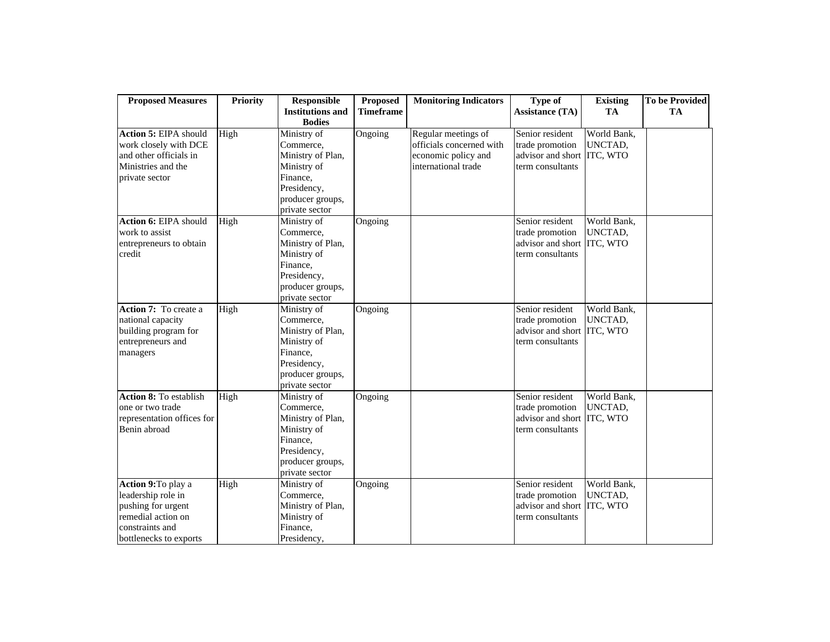| <b>Proposed Measures</b>                                                                                                                  | <b>Priority</b> | <b>Responsible</b>                                                                                                                           | Proposed           | <b>Monitoring Indicators</b>                                                                  | <b>Type of</b>                                                                                 | <b>Existing</b>                                   | <b>To be Provided</b> |
|-------------------------------------------------------------------------------------------------------------------------------------------|-----------------|----------------------------------------------------------------------------------------------------------------------------------------------|--------------------|-----------------------------------------------------------------------------------------------|------------------------------------------------------------------------------------------------|---------------------------------------------------|-----------------------|
|                                                                                                                                           |                 | <b>Institutions and</b>                                                                                                                      | <b>Timeframe</b>   |                                                                                               | <b>Assistance (TA)</b>                                                                         | <b>TA</b>                                         | <b>TA</b>             |
|                                                                                                                                           |                 | <b>Bodies</b>                                                                                                                                |                    |                                                                                               |                                                                                                |                                                   |                       |
| Action 5: EIPA should<br>work closely with DCE<br>and other officials in<br>Ministries and the<br>private sector<br>Action 6: EIPA should | High<br>High    | Ministry of<br>Commerce,<br>Ministry of Plan,<br>Ministry of<br>Finance,<br>Presidency,<br>producer groups,<br>private sector<br>Ministry of | Ongoing<br>Ongoing | Regular meetings of<br>officials concerned with<br>economic policy and<br>international trade | Senior resident<br>trade promotion<br>advisor and short<br>term consultants<br>Senior resident | World Bank,<br>UNCTAD,<br>ITC, WTO<br>World Bank, |                       |
| work to assist<br>entrepreneurs to obtain<br>credit                                                                                       |                 | Commerce,<br>Ministry of Plan,<br>Ministry of<br>Finance,<br>Presidency,<br>producer groups,<br>private sector                               |                    |                                                                                               | trade promotion<br>advisor and short<br>term consultants                                       | UNCTAD,<br>ITC, WTO                               |                       |
| Action 7: To create a<br>national capacity<br>building program for<br>entrepreneurs and<br>managers                                       | High            | Ministry of<br>Commerce.<br>Ministry of Plan,<br>Ministry of<br>Finance,<br>Presidency,<br>producer groups,<br>private sector                | Ongoing            |                                                                                               | Senior resident<br>trade promotion<br>advisor and short<br>term consultants                    | World Bank,<br>UNCTAD,<br>ITC, WTO                |                       |
| <b>Action 8: To establish</b><br>one or two trade<br>representation offices for<br>Benin abroad                                           | High            | Ministry of<br>Commerce,<br>Ministry of Plan,<br>Ministry of<br>Finance,<br>Presidency,<br>producer groups,<br>private sector                | Ongoing            |                                                                                               | Senior resident<br>trade promotion<br>advisor and short<br>term consultants                    | World Bank,<br>UNCTAD,<br>ITC, WTO                |                       |
| Action 9: To play a<br>leadership role in<br>pushing for urgent<br>remedial action on<br>constraints and<br>bottlenecks to exports        | High            | Ministry of<br>Commerce,<br>Ministry of Plan,<br>Ministry of<br>Finance,<br>Presidency,                                                      | Ongoing            |                                                                                               | Senior resident<br>trade promotion<br>advisor and short<br>term consultants                    | World Bank,<br>UNCTAD,<br>ITC, WTO                |                       |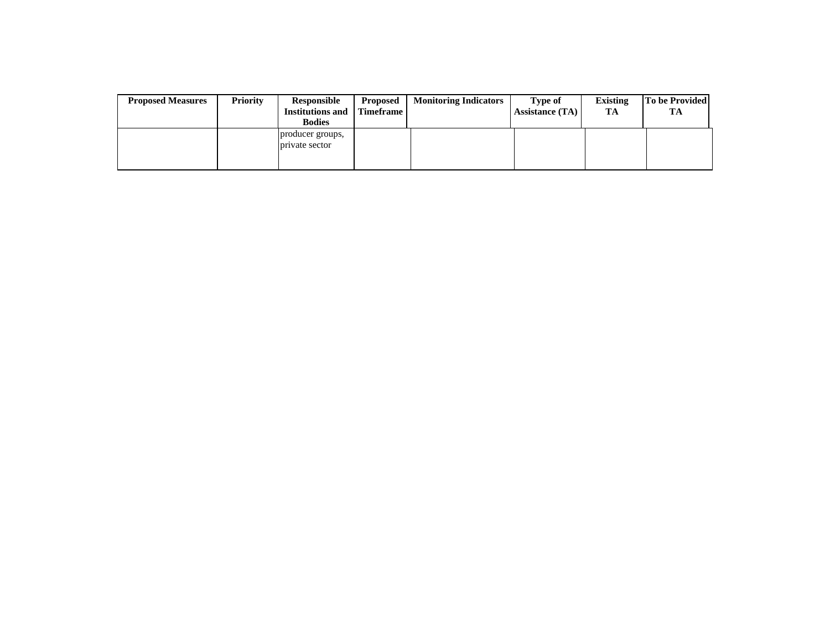| <b>Proposed Measures</b> | <b>Priority</b> | Responsible<br><b>Institutions and</b><br><b>Bodies</b> | <b>Proposed</b><br><b>Timeframe</b> | <b>Monitoring Indicators</b> | Type of<br><b>Assistance (TA)</b> | <b>Existing</b><br>TA | To be Provided<br>TA |
|--------------------------|-----------------|---------------------------------------------------------|-------------------------------------|------------------------------|-----------------------------------|-----------------------|----------------------|
|                          |                 | producer groups,<br>private sector                      |                                     |                              |                                   |                       |                      |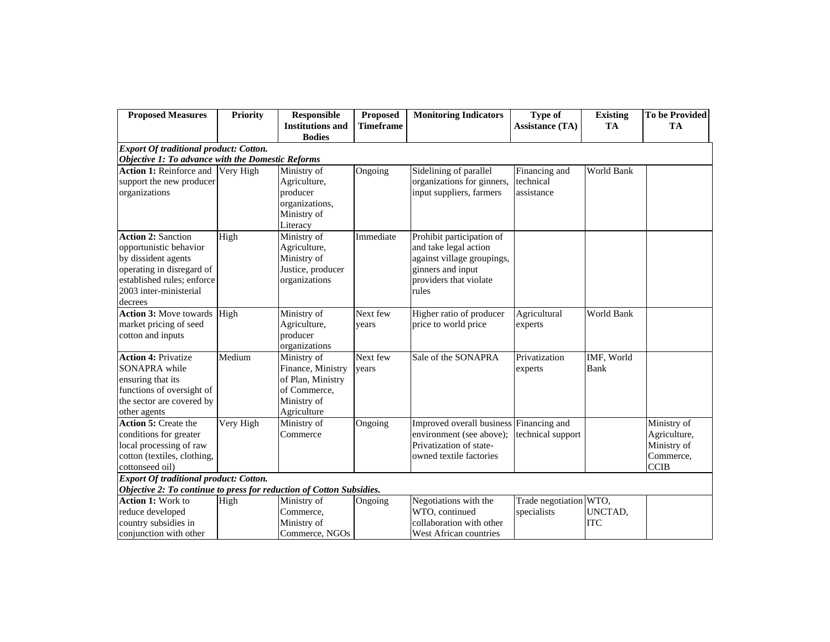| <b>Proposed Measures</b>                                                                                                                                                   | <b>Priority</b> | <b>Responsible</b><br><b>Institutions and</b>                                                       | <b>Proposed</b><br><b>Timeframe</b> | <b>Monitoring Indicators</b>                                                                                                             | <b>Type of</b><br><b>Assistance (TA)</b> | <b>Existing</b><br>TA | <b>To be Provided</b><br>TA                                            |
|----------------------------------------------------------------------------------------------------------------------------------------------------------------------------|-----------------|-----------------------------------------------------------------------------------------------------|-------------------------------------|------------------------------------------------------------------------------------------------------------------------------------------|------------------------------------------|-----------------------|------------------------------------------------------------------------|
|                                                                                                                                                                            |                 | <b>Bodies</b>                                                                                       |                                     |                                                                                                                                          |                                          |                       |                                                                        |
| <b>Export Of traditional product: Cotton.</b>                                                                                                                              |                 |                                                                                                     |                                     |                                                                                                                                          |                                          |                       |                                                                        |
| Objective 1: To advance with the Domestic Reforms                                                                                                                          |                 |                                                                                                     |                                     |                                                                                                                                          |                                          |                       |                                                                        |
| Action 1: Reinforce and<br>support the new producer<br>organizations                                                                                                       | Very High       | Ministry of<br>Agriculture,<br>producer<br>organizations,<br>Ministry of<br>Literacy                | Ongoing                             | Sidelining of parallel<br>organizations for ginners,<br>input suppliers, farmers                                                         | Financing and<br>technical<br>assistance | World Bank            |                                                                        |
| <b>Action 2: Sanction</b><br>opportunistic behavior<br>by dissident agents<br>operating in disregard of<br>established rules; enforce<br>2003 inter-ministerial<br>decrees | High            | Ministry of<br>Agriculture,<br>Ministry of<br>Justice, producer<br>organizations                    | Immediate                           | Prohibit participation of<br>and take legal action<br>against village groupings,<br>ginners and input<br>providers that violate<br>rules |                                          |                       |                                                                        |
| <b>Action 3: Move towards</b><br>market pricing of seed<br>cotton and inputs                                                                                               | High            | Ministry of<br>Agriculture,<br>producer<br>organizations                                            | Next few<br>years                   | Higher ratio of producer<br>price to world price                                                                                         | Agricultural<br>experts                  | World Bank            |                                                                        |
| <b>Action 4: Privatize</b><br><b>SONAPRA</b> while<br>ensuring that its<br>functions of oversight of<br>the sector are covered by<br>other agents                          | Medium          | Ministry of<br>Finance, Ministry<br>of Plan, Ministry<br>of Commerce,<br>Ministry of<br>Agriculture | Next few<br>years                   | Sale of the SONAPRA                                                                                                                      | Privatization<br>experts                 | IMF, World<br>Bank    |                                                                        |
| <b>Action 5: Create the</b><br>conditions for greater<br>local processing of raw<br>cotton (textiles, clothing,<br>cottonseed oil)                                         | Very High       | Ministry of<br>Commerce                                                                             | Ongoing                             | Improved overall business Financing and<br>environment (see above);<br>Privatization of state-<br>owned textile factories                | technical support                        |                       | Ministry of<br>Agriculture,<br>Ministry of<br>Commerce,<br><b>CCIB</b> |
| <b>Export Of traditional product: Cotton.</b>                                                                                                                              |                 |                                                                                                     |                                     |                                                                                                                                          |                                          |                       |                                                                        |
| Objective 2: To continue to press for reduction of Cotton Subsidies.                                                                                                       |                 |                                                                                                     |                                     |                                                                                                                                          |                                          |                       |                                                                        |
| <b>Action 1: Work to</b><br>reduce developed<br>country subsidies in<br>conjunction with other                                                                             | High            | Ministry of<br>Commerce,<br>Ministry of<br>Commerce, NGOs                                           | Ongoing                             | Negotiations with the<br>WTO, continued<br>collaboration with other<br>West African countries                                            | Trade negotiation WTO,<br>specialists    | UNCTAD,<br><b>ITC</b> |                                                                        |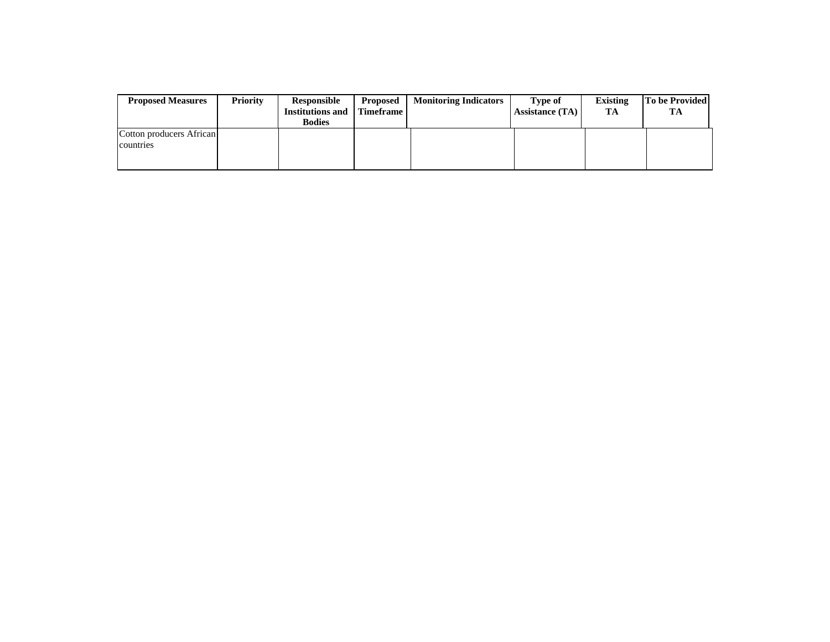| <b>Proposed Measures</b>              | <b>Priority</b> | Responsible<br><b>Institutions and</b><br><b>Bodies</b> | Proposed<br><b>Timeframe</b> | <b>Monitoring Indicators</b> | <b>Type of</b><br>Assistance (TA) | <b>Existing</b><br>TA | To be Provided<br>TA |
|---------------------------------------|-----------------|---------------------------------------------------------|------------------------------|------------------------------|-----------------------------------|-----------------------|----------------------|
| Cotton producers African<br>countries |                 |                                                         |                              |                              |                                   |                       |                      |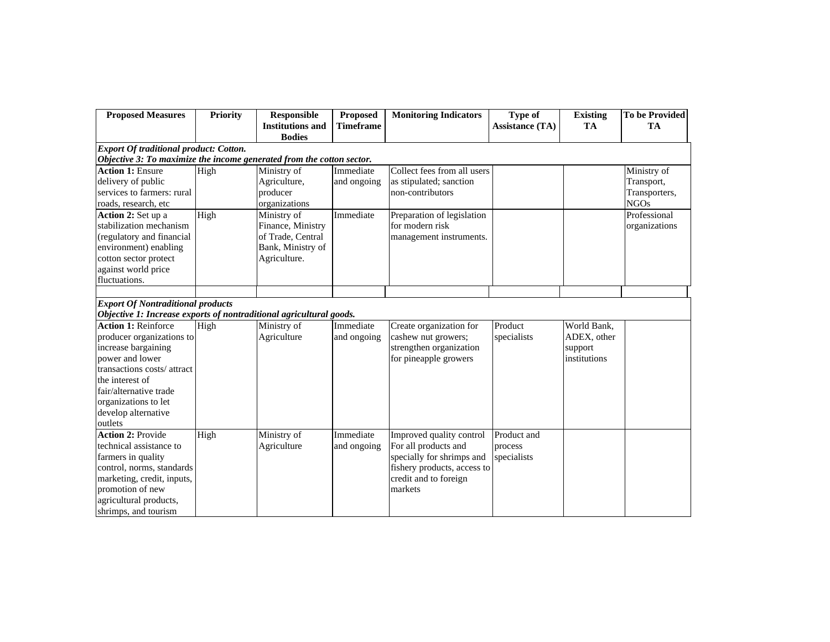| <b>Proposed Measures</b>                                              | <b>Priority</b> | <b>Responsible</b>      | <b>Proposed</b>  | <b>Monitoring Indicators</b> | <b>Type of</b>         | <b>Existing</b> | <b>To be Provided</b> |
|-----------------------------------------------------------------------|-----------------|-------------------------|------------------|------------------------------|------------------------|-----------------|-----------------------|
|                                                                       |                 | <b>Institutions and</b> | <b>Timeframe</b> |                              | <b>Assistance (TA)</b> | TA              | <b>TA</b>             |
|                                                                       |                 | <b>Bodies</b>           |                  |                              |                        |                 |                       |
| <b>Export Of traditional product: Cotton.</b>                         |                 |                         |                  |                              |                        |                 |                       |
| Objective 3: To maximize the income generated from the cotton sector. |                 |                         |                  |                              |                        |                 |                       |
| <b>Action 1: Ensure</b>                                               | High            | Ministry of             | Immediate        | Collect fees from all users  |                        |                 | Ministry of           |
| delivery of public                                                    |                 | Agriculture,            | and ongoing      | as stipulated; sanction      |                        |                 | Transport,            |
| services to farmers: rural                                            |                 | producer                |                  | non-contributors             |                        |                 | Transporters,         |
| roads, research, etc                                                  |                 | organizations           |                  |                              |                        |                 | <b>NGOs</b>           |
| Action 2: Set up a                                                    | High            | Ministry of             | Immediate        | Preparation of legislation   |                        |                 | Professional          |
| stabilization mechanism                                               |                 | Finance, Ministry       |                  | for modern risk              |                        |                 | organizations         |
| (regulatory and financial                                             |                 | of Trade, Central       |                  | management instruments.      |                        |                 |                       |
| environment) enabling                                                 |                 | Bank, Ministry of       |                  |                              |                        |                 |                       |
| cotton sector protect                                                 |                 | Agriculture.            |                  |                              |                        |                 |                       |
| against world price                                                   |                 |                         |                  |                              |                        |                 |                       |
| fluctuations.                                                         |                 |                         |                  |                              |                        |                 |                       |
|                                                                       |                 |                         |                  |                              |                        |                 |                       |
| <b>Export Of Nontraditional products</b>                              |                 |                         |                  |                              |                        |                 |                       |
| Objective 1: Increase exports of nontraditional agricultural goods.   |                 |                         |                  |                              |                        |                 |                       |
| <b>Action 1: Reinforce</b>                                            | High            | Ministry of             | Immediate        | Create organization for      | Product                | World Bank,     |                       |
| producer organizations to                                             |                 | Agriculture             | and ongoing      | cashew nut growers;          | specialists            | ADEX, other     |                       |
| increase bargaining                                                   |                 |                         |                  | strengthen organization      |                        | support         |                       |
| power and lower                                                       |                 |                         |                  | for pineapple growers        |                        | institutions    |                       |
| transactions costs/attract                                            |                 |                         |                  |                              |                        |                 |                       |
| the interest of                                                       |                 |                         |                  |                              |                        |                 |                       |
| fair/alternative trade                                                |                 |                         |                  |                              |                        |                 |                       |
| organizations to let                                                  |                 |                         |                  |                              |                        |                 |                       |
| develop alternative                                                   |                 |                         |                  |                              |                        |                 |                       |
| outlets                                                               |                 |                         |                  |                              |                        |                 |                       |
| <b>Action 2: Provide</b>                                              | High            | Ministry of             | Immediate        | Improved quality control     | Product and            |                 |                       |
| technical assistance to                                               |                 | Agriculture             | and ongoing      | For all products and         | process                |                 |                       |
| farmers in quality                                                    |                 |                         |                  | specially for shrimps and    | specialists            |                 |                       |
| control, norms, standards                                             |                 |                         |                  | fishery products, access to  |                        |                 |                       |
| marketing, credit, inputs,                                            |                 |                         |                  | credit and to foreign        |                        |                 |                       |
| promotion of new                                                      |                 |                         |                  | markets                      |                        |                 |                       |
| agricultural products,                                                |                 |                         |                  |                              |                        |                 |                       |
| shrimps, and tourism                                                  |                 |                         |                  |                              |                        |                 |                       |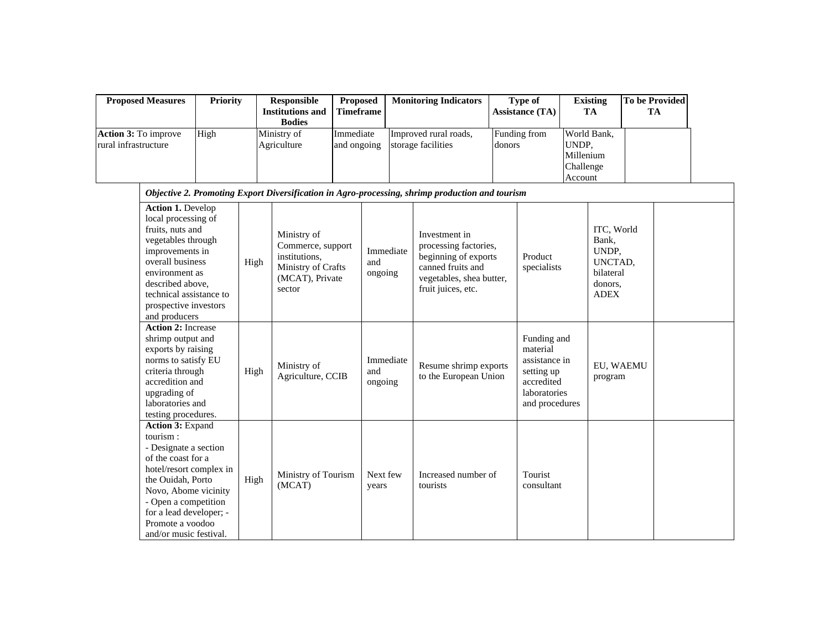|                      | <b>Proposed Measures</b>                                                                                                                                                                                                                             | <b>Priority</b> |      | Responsible<br><b>Institutions and</b><br><b>Bodies</b>                                              | <b>Proposed</b><br><b>Timeframe</b> |                             | <b>Monitoring Indicators</b>                                                                                                          |        | <b>Type of</b><br><b>Assistance (TA)</b>                                                               |                                            | <b>Existing</b><br><b>TA</b>                                                   | <b>To be Provided</b><br><b>TA</b> |  |
|----------------------|------------------------------------------------------------------------------------------------------------------------------------------------------------------------------------------------------------------------------------------------------|-----------------|------|------------------------------------------------------------------------------------------------------|-------------------------------------|-----------------------------|---------------------------------------------------------------------------------------------------------------------------------------|--------|--------------------------------------------------------------------------------------------------------|--------------------------------------------|--------------------------------------------------------------------------------|------------------------------------|--|
| rural infrastructure | Action 3: To improve                                                                                                                                                                                                                                 | High            |      | Ministry of<br>Agriculture                                                                           | Immediate<br>and ongoing            |                             | Improved rural roads,<br>storage facilities                                                                                           | donors | Funding from                                                                                           | UNDP,<br>Millenium<br>Challenge<br>Account | World Bank,                                                                    |                                    |  |
|                      |                                                                                                                                                                                                                                                      |                 |      |                                                                                                      |                                     |                             | Objective 2. Promoting Export Diversification in Agro-processing, shrimp production and tourism                                       |        |                                                                                                        |                                            |                                                                                |                                    |  |
|                      | <b>Action 1. Develop</b><br>local processing of<br>fruits, nuts and<br>vegetables through<br>improvements in<br>overall business<br>environment as<br>described above,<br>technical assistance to<br>prospective investors<br>and producers          |                 | High | Ministry of<br>Commerce, support<br>institutions,<br>Ministry of Crafts<br>(MCAT), Private<br>sector |                                     | Immediate<br>and<br>ongoing | Investment in<br>processing factories,<br>beginning of exports<br>canned fruits and<br>vegetables, shea butter,<br>fruit juices, etc. |        | Product<br>specialists                                                                                 |                                            | ITC, World<br>Bank,<br>UNDP,<br>UNCTAD,<br>bilateral<br>donors,<br><b>ADEX</b> |                                    |  |
|                      | <b>Action 2: Increase</b><br>shrimp output and<br>exports by raising<br>norms to satisfy EU<br>criteria through<br>accredition and<br>upgrading of<br>laboratories and<br>testing procedures.                                                        |                 | High | Ministry of<br>Agriculture, CCIB                                                                     |                                     | Immediate<br>and<br>ongoing | Resume shrimp exports<br>to the European Union                                                                                        |        | Funding and<br>material<br>assistance in<br>setting up<br>accredited<br>laboratories<br>and procedures |                                            | EU, WAEMU<br>program                                                           |                                    |  |
|                      | Action 3: Expand<br>tourism:<br>- Designate a section<br>of the coast for a<br>hotel/resort complex in<br>the Ouidah, Porto<br>Novo, Abome vicinity<br>- Open a competition<br>for a lead developer; -<br>Promote a voodoo<br>and/or music festival. |                 | High | Ministry of Tourism<br>(MCAT)                                                                        |                                     | Next few<br>years           | Increased number of<br>tourists                                                                                                       |        | Tourist<br>consultant                                                                                  |                                            |                                                                                |                                    |  |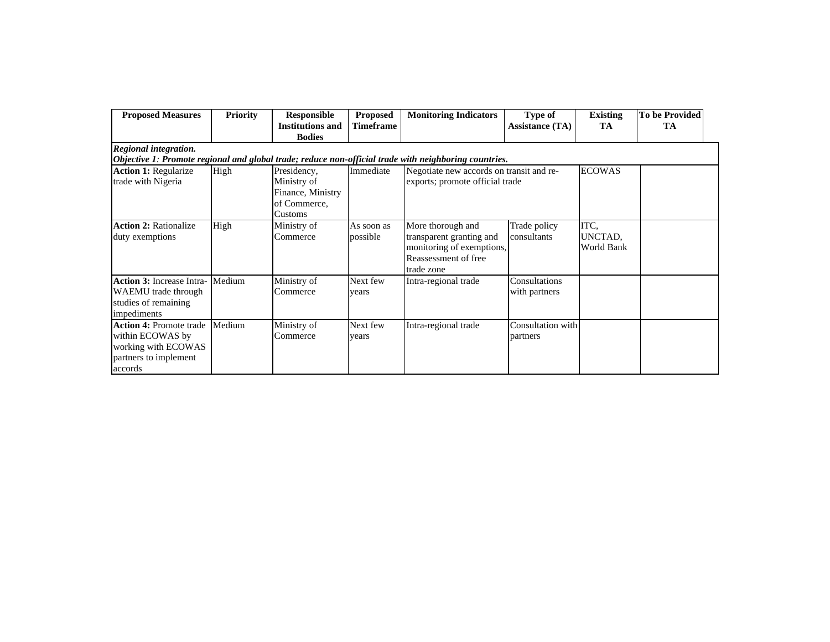| <b>Proposed Measures</b>                                                                                      | <b>Priority</b> | <b>Responsible</b><br><b>Institutions and</b><br><b>Bodies</b>             | <b>Proposed</b><br><b>Timeframe</b> | <b>Monitoring Indicators</b>                                                                                     | Type of<br><b>Assistance (TA)</b> | <b>Existing</b><br>TA         | <b>To be Provided</b><br>TA |
|---------------------------------------------------------------------------------------------------------------|-----------------|----------------------------------------------------------------------------|-------------------------------------|------------------------------------------------------------------------------------------------------------------|-----------------------------------|-------------------------------|-----------------------------|
| Regional integration.                                                                                         |                 |                                                                            |                                     |                                                                                                                  |                                   |                               |                             |
|                                                                                                               |                 |                                                                            |                                     | Objective 1: Promote regional and global trade; reduce non-official trade with neighboring countries.            |                                   |                               |                             |
| <b>Action 1: Regularize</b><br>trade with Nigeria                                                             | High            | Presidency,<br>Ministry of<br>Finance, Ministry<br>of Commerce.<br>Customs | Immediate                           | Negotiate new accords on transit and re-<br>exports; promote official trade                                      |                                   | <b>ECOWAS</b>                 |                             |
| <b>Action 2: Rationalize</b><br>duty exemptions                                                               | High            | Ministry of<br>Commerce                                                    | As soon as<br>possible              | More thorough and<br>transparent granting and<br>monitoring of exemptions,<br>Reassessment of free<br>trade zone | Trade policy<br>consultants       | ITC,<br>UNCTAD,<br>World Bank |                             |
| <b>Action 3: Increase Intra-</b><br>WAEMU trade through<br>studies of remaining<br>impediments                | Medium          | Ministry of<br>Commerce                                                    | Next few<br>vears                   | Intra-regional trade                                                                                             | Consultations<br>with partners    |                               |                             |
| <b>Action 4: Promote trade</b><br>within ECOWAS by<br>working with ECOWAS<br>partners to implement<br>accords | Medium          | Ministry of<br>Commerce                                                    | Next few<br>vears                   | Intra-regional trade                                                                                             | Consultation with<br>partners     |                               |                             |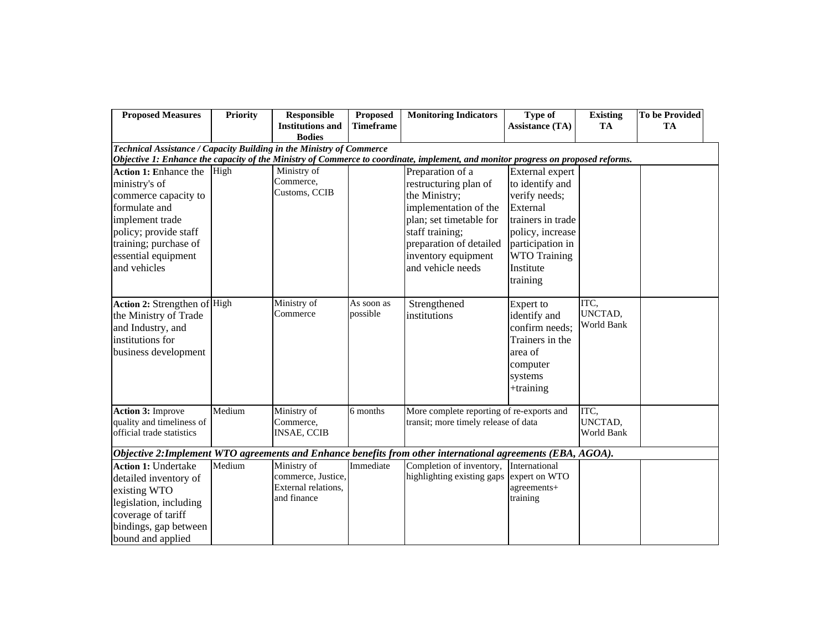| <b>Proposed Measures</b>                                                                                                                                                                    | <b>Priority</b> | <b>Responsible</b>                                                      | Proposed               | <b>Monitoring Indicators</b>                                                                                                                                                                             | Type of                                                                                                                                                                      | <b>Existing</b>               | <b>To be Provided</b> |  |  |  |
|---------------------------------------------------------------------------------------------------------------------------------------------------------------------------------------------|-----------------|-------------------------------------------------------------------------|------------------------|----------------------------------------------------------------------------------------------------------------------------------------------------------------------------------------------------------|------------------------------------------------------------------------------------------------------------------------------------------------------------------------------|-------------------------------|-----------------------|--|--|--|
|                                                                                                                                                                                             |                 | <b>Institutions and</b><br><b>Bodies</b>                                | <b>Timeframe</b>       |                                                                                                                                                                                                          | <b>Assistance (TA)</b>                                                                                                                                                       | <b>TA</b>                     | TA                    |  |  |  |
| Technical Assistance / Capacity Building in the Ministry of Commerce                                                                                                                        |                 |                                                                         |                        |                                                                                                                                                                                                          |                                                                                                                                                                              |                               |                       |  |  |  |
| Objective 1: Enhance the capacity of the Ministry of Commerce to coordinate, implement, and monitor progress on proposed reforms.                                                           |                 |                                                                         |                        |                                                                                                                                                                                                          |                                                                                                                                                                              |                               |                       |  |  |  |
| Action 1: Enhance the<br>ministry's of<br>commerce capacity to<br>formulate and<br>implement trade<br>policy; provide staff<br>training; purchase of<br>essential equipment<br>and vehicles | High            | Ministry of<br>Commerce,<br>Customs, CCIB                               |                        | Preparation of a<br>restructuring plan of<br>the Ministry;<br>implementation of the<br>plan; set timetable for<br>staff training;<br>preparation of detailed<br>inventory equipment<br>and vehicle needs | External expert<br>to identify and<br>verify needs;<br>External<br>trainers in trade<br>policy, increase<br>participation in<br><b>WTO Training</b><br>Institute<br>training |                               |                       |  |  |  |
| Action 2: Strengthen of High<br>the Ministry of Trade<br>and Industry, and<br>institutions for<br>business development                                                                      |                 | Ministry of<br>Commerce                                                 | As soon as<br>possible | Strengthened<br>institutions                                                                                                                                                                             | <b>Expert</b> to<br>identify and<br>confirm needs;<br>Trainers in the<br>area of<br>computer<br>systems<br>$+$ training                                                      | ITC,<br>UNCTAD,<br>World Bank |                       |  |  |  |
| <b>Action 3: Improve</b><br>quality and timeliness of<br>official trade statistics                                                                                                          | Medium          | Ministry of<br>Commerce,<br><b>INSAE, CCIB</b>                          | 6 months               | More complete reporting of re-exports and<br>transit; more timely release of data                                                                                                                        |                                                                                                                                                                              | ITC,<br>UNCTAD,<br>World Bank |                       |  |  |  |
|                                                                                                                                                                                             |                 |                                                                         |                        | Objective 2: Implement WTO agreements and Enhance benefits from other international agreements (EBA, AGOA).                                                                                              |                                                                                                                                                                              |                               |                       |  |  |  |
| <b>Action 1: Undertake</b><br>detailed inventory of<br>existing WTO<br>legislation, including<br>coverage of tariff<br>bindings, gap between<br>bound and applied                           | Medium          | Ministry of<br>commerce, Justice,<br>External relations,<br>and finance | Immediate              | Completion of inventory,<br>highlighting existing gaps                                                                                                                                                   | International<br>expert on WTO<br>agreements+<br>training                                                                                                                    |                               |                       |  |  |  |